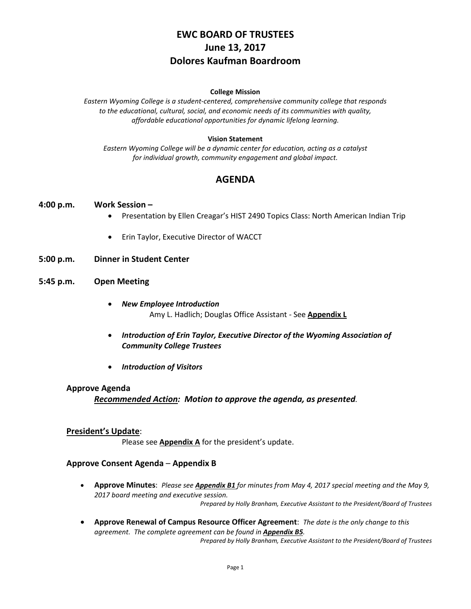# **EWC BOARD OF TRUSTEES June 13, 2017 Dolores Kaufman Boardroom**

#### **College Mission**

*Eastern Wyoming College is a student-centered, comprehensive community college that responds to the educational, cultural, social, and economic needs of its communities with quality, affordable educational opportunities for dynamic lifelong learning.*

#### **Vision Statement**

*Eastern Wyoming College will be a dynamic center for education, acting as a catalyst for individual growth, community engagement and global impact.*

# **AGENDA**

### **4:00 p.m. Work Session –**

- Presentation by Ellen Creagar's HIST 2490 Topics Class: North American Indian Trip
- Erin Taylor, Executive Director of WACCT
- **5:00 p.m. Dinner in Student Center**
- **5:45 p.m. Open Meeting**
	- *New Employee Introduction* Amy L. Hadlich; Douglas Office Assistant - See **Appendix L**
	- *Introduction of Erin Taylor, Executive Director of the Wyoming Association of Community College Trustees*
	- *Introduction of Visitors*

#### **Approve Agenda**

*Recommended Action: Motion to approve the agenda, as presented.*

### **President's Update**:

Please see **Appendix A** for the president's update.

### **Approve Consent Agenda** – **Appendix B**

• **Approve Minutes**: *Please see Appendix B1 for minutes from May 4, 2017 special meeting and the May 9, 2017 board meeting and executive session.*

*Prepared by Holly Branham, Executive Assistant to the President/Board of Trustees*

• **Approve Renewal of Campus Resource Officer Agreement**: *The date is the only change to this agreement. The complete agreement can be found in Appendix B5. Prepared by Holly Branham, Executive Assistant to the President/Board of Trustees*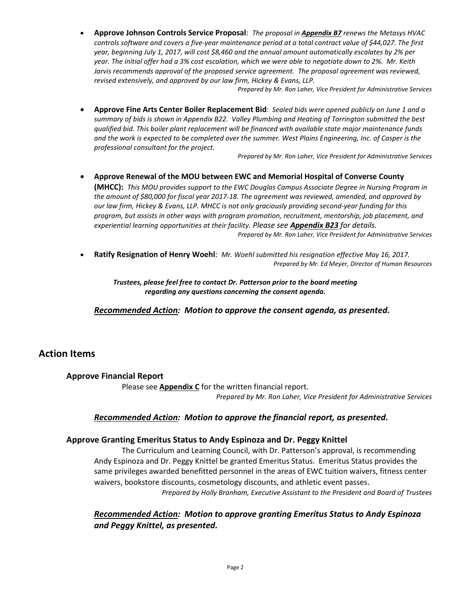• **Approve Johnson Controls Service Proposal**: *The proposal in Appendix B7 renews the Metasys HVAC controls software and covers a five-year maintenance period at a total contract value of \$44,027. The first year, beginning July 1, 2017, will cost \$8,460 and the annual amount automatically escalates by 2% per year. The initial offer had a 3% cost escalation, which we were able to negotiate down to 2%. Mr. Keith Jarvis recommends approval of the proposed service agreement. The proposal agreement was reviewed, revised extensively, and approved by our law firm, Hickey & Evans, LLP.*

*Prepared by Mr. Ron Laher, Vice President for Administrative Services*

• **Approve Fine Arts Center Boiler Replacement Bid**: *Sealed bids were opened publicly on June 1 and a summary of bids is shown in Appendix B22. Valley Plumbing and Heating of Torrington submitted the best qualified bid. This boiler plant replacement will be financed with available state major maintenance funds and the work is expected to be completed over the summer. West Plains Engineering, Inc. of Casper is the professional consultant for the project.*

*Prepared by Mr. Ron Laher, Vice President for Administrative Services*

- **Approve Renewal of the MOU between EWC and Memorial Hospital of Converse County (MHCC):** *This MOU provides support to the EWC Douglas Campus Associate Degree in Nursing Program in the amount of \$80,000 for fiscal year 2017-18. The agreement was reviewed, amended, and approved by our law firm, Hickey & Evans, LLP. MHCC is not only graciously providing second-year funding for this program, but assists in other ways with program promotion, recruitment, mentorship, job placement, and experiential learning opportunities at their facility. Please see Appendix B23 for details. Prepared by Mr. Ron Laher, Vice President for Administrative Services*
- **Ratify Resignation of Henry Woehl**: *Mr. Woehl submitted his resignation effective May 16, 2017. Prepared by Mr. Ed Meyer, Director of Human Resources*

*Trustees, please feel free to contact Dr. Patterson prior to the board meeting regarding any questions concerning the consent agenda.*

*Recommended Action: Motion to approve the consent agenda, as presented.*

# **Action Items**

# **Approve Financial Report**

Please see **Appendix C** for the written financial report. *Prepared by Mr. Ron Laher, Vice President for Administrative Services*

### *Recommended Action: Motion to approve the financial report, as presented.*

### **Approve Granting Emeritus Status to Andy Espinoza and Dr. Peggy Knittel**

The Curriculum and Learning Council, with Dr. Patterson's approval, is recommending Andy Espinoza and Dr. Peggy Knittel be granted Emeritus Status. Emeritus Status provides the same privileges awarded benefitted personnel in the areas of EWC tuition waivers, fitness center waivers, bookstore discounts, cosmetology discounts, and athletic event passes. *Prepared by Holly Branham, Executive Assistant to the President and Board of Trustees*

*Recommended Action: Motion to approve granting Emeritus Status to Andy Espinoza and Peggy Knittel, as presented.*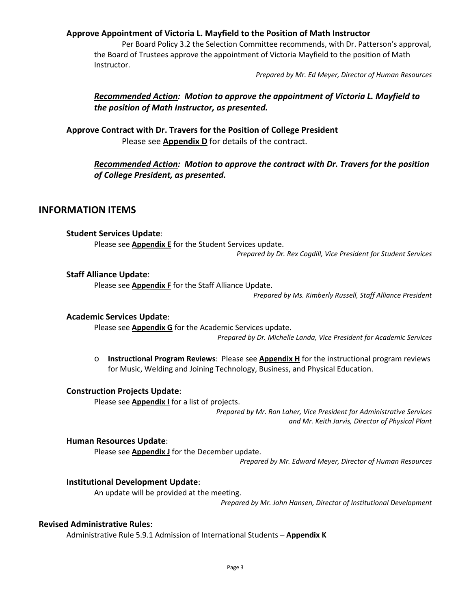## **Approve Appointment of Victoria L. Mayfield to the Position of Math Instructor**

Per Board Policy 3.2 the Selection Committee recommends, with Dr. Patterson's approval, the Board of Trustees approve the appointment of Victoria Mayfield to the position of Math Instructor.

*Prepared by Mr. Ed Meyer, Director of Human Resources*

# *Recommended Action: Motion to approve the appointment of Victoria L. Mayfield to the position of Math Instructor, as presented.*

**Approve Contract with Dr. Travers for the Position of College President** Please see **Appendix D** for details of the contract.

> *Recommended Action: Motion to approve the contract with Dr. Travers for the position of College President, as presented.*

### **INFORMATION ITEMS**

### **Student Services Update**:

Please see **Appendix E** for the Student Services update.

*Prepared by Dr. Rex Cogdill, Vice President for Student Services*

### **Staff Alliance Update**:

Please see **Appendix F** for the Staff Alliance Update.

*Prepared by Ms. Kimberly Russell, Staff Alliance President*

### **Academic Services Update**:

Please see **Appendix G** for the Academic Services update. *Prepared by Dr. Michelle Landa, Vice President for Academic Services*

o **Instructional Program Reviews**: Please see **Appendix H** for the instructional program reviews for Music, Welding and Joining Technology, Business, and Physical Education.

### **Construction Projects Update**:

Please see **Appendix I** for a list of projects.

*Prepared by Mr. Ron Laher, Vice President for Administrative Services and Mr. Keith Jarvis, Director of Physical Plant*

#### **Human Resources Update**:

Please see **Appendix J** for the December update.

*Prepared by Mr. Edward Meyer, Director of Human Resources*

### **Institutional Development Update**:

An update will be provided at the meeting.

*Prepared by Mr. John Hansen, Director of Institutional Development*

### **Revised Administrative Rules**:

Administrative Rule 5.9.1 Admission of International Students – **Appendix K**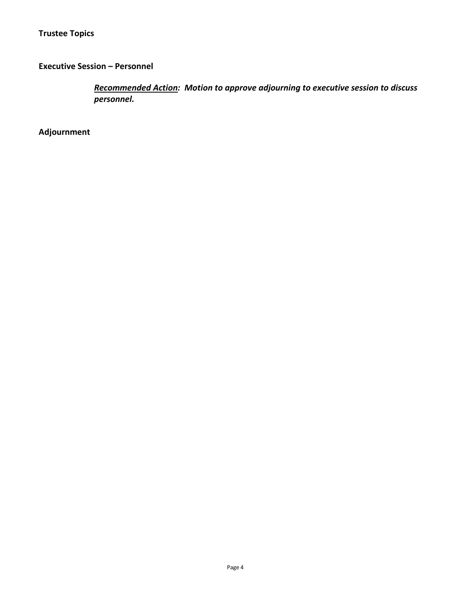# **Executive Session – Personnel**

*Recommended Action: Motion to approve adjourning to executive session to discuss personnel.*

**Adjournment**